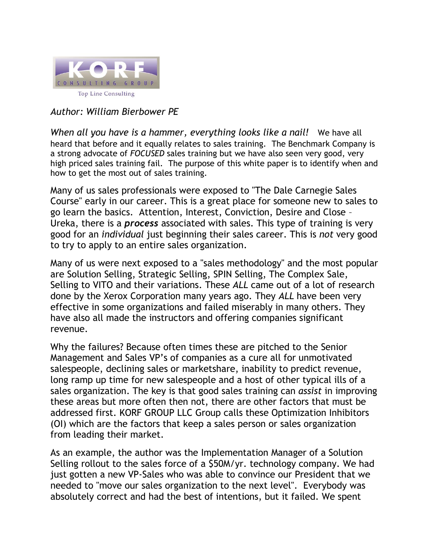

## *Author: William Bierbower PE*

*When all you have is a hammer, everything looks like a nail!* We have all heard that before and it equally relates to sales training. The Benchmark Company is a strong advocate of *FOCUSED* sales training but we have also seen very good, very high priced sales training fail. The purpose of this white paper is to identify when and how to get the most out of sales training.

Many of us sales professionals were exposed to "The Dale Carnegie Sales Course" early in our career. This is a great place for someone new to sales to go learn the basics. Attention, Interest, Conviction, Desire and Close – Ureka, there is a *process* associated with sales. This type of training is very good for an *individual* just beginning their sales career. This is *not* very good to try to apply to an entire sales organization.

Many of us were next exposed to a "sales methodology" and the most popular are Solution Selling, Strategic Selling, SPIN Selling, The Complex Sale, Selling to VITO and their variations. These *ALL* came out of a lot of research done by the Xerox Corporation many years ago. They *ALL* have been very effective in some organizations and failed miserably in many others. They have also all made the instructors and offering companies significant revenue.

Why the failures? Because often times these are pitched to the Senior Management and Sales VP's of companies as a cure all for unmotivated salespeople, declining sales or marketshare, inability to predict revenue, long ramp up time for new salespeople and a host of other typical ills of a sales organization. The key is that good sales training can *assist* in improving these areas but more often then not, there are other factors that must be addressed first. KORF GROUP LLC Group calls these Optimization Inhibitors (OI) which are the factors that keep a sales person or sales organization from leading their market.

As an example, the author was the Implementation Manager of a Solution Selling rollout to the sales force of a \$50M/yr. technology company. We had just gotten a new VP-Sales who was able to convince our President that we needed to "move our sales organization to the next level". Everybody was absolutely correct and had the best of intentions, but it failed. We spent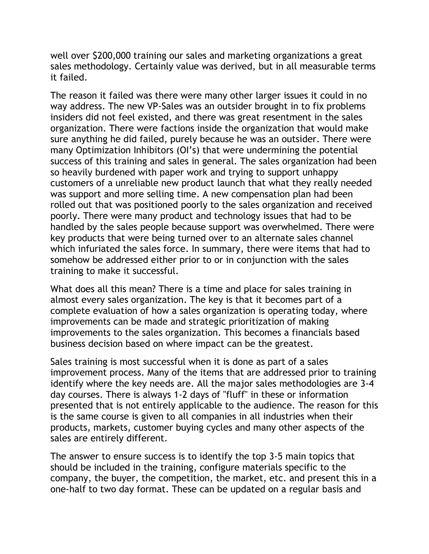well over \$200,000 training our sales and marketing organizations a great sales methodology. Certainly value was derived, but in all measurable terms it failed.

The reason it failed was there were many other larger issues it could in no way address. The new VP-Sales was an outsider brought in to fix problems insiders did not feel existed, and there was great resentment in the sales organization. There were factions inside the organization that would make sure anything he did failed, purely because he was an outsider. There were many Optimization Inhibitors (OI's) that were undermining the potential success of this training and sales in general. The sales organization had been so heavily burdened with paper work and trying to support unhappy customers of a unreliable new product launch that what they really needed was support and more selling time. A new compensation plan had been rolled out that was positioned poorly to the sales organization and received poorly. There were many product and technology issues that had to be handled by the sales people because support was overwhelmed. There were key products that were being turned over to an alternate sales channel which infuriated the sales force. In summary, there were items that had to somehow be addressed either prior to or in conjunction with the sales training to make it successful.

What does all this mean? There is a time and place for sales training in almost every sales organization. The key is that it becomes part of a complete evaluation of how a sales organization is operating today, where improvements can be made and strategic prioritization of making improvements to the sales organization. This becomes a financials based business decision based on where impact can be the greatest.

Sales training is most successful when it is done as part of a sales improvement process. Many of the items that are addressed prior to training identify where the key needs are. All the major sales methodologies are 3-4 day courses. There is always 1-2 days of "fluff" in these or information presented that is not entirely applicable to the audience. The reason for this is the same course is given to all companies in all industries when their products, markets, customer buying cycles and many other aspects of the sales are entirely different.

The answer to ensure success is to identify the top 3-5 main topics that should be included in the training, configure materials specific to the company, the buyer, the competition, the market, etc. and present this in a one-half to two day format. These can be updated on a regular basis and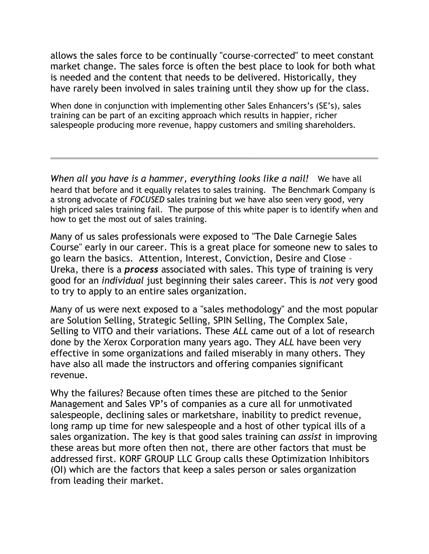allows the sales force to be continually "course-corrected" to meet constant market change. The sales force is often the best place to look for both what is needed and the content that needs to be delivered. Historically, they have rarely been involved in sales training until they show up for the class.

When done in conjunction with implementing other Sales Enhancers's (SE's), sales training can be part of an exciting approach which results in happier, richer salespeople producing more revenue, happy customers and smiling shareholders.

*When all you have is a hammer, everything looks like a nail!* We have all heard that before and it equally relates to sales training. The Benchmark Company is a strong advocate of *FOCUSED* sales training but we have also seen very good, very high priced sales training fail. The purpose of this white paper is to identify when and how to get the most out of sales training.

Many of us sales professionals were exposed to "The Dale Carnegie Sales Course" early in our career. This is a great place for someone new to sales to go learn the basics. Attention, Interest, Conviction, Desire and Close – Ureka, there is a *process* associated with sales. This type of training is very good for an *individual* just beginning their sales career. This is *not* very good to try to apply to an entire sales organization.

Many of us were next exposed to a "sales methodology" and the most popular are Solution Selling, Strategic Selling, SPIN Selling, The Complex Sale, Selling to VITO and their variations. These *ALL* came out of a lot of research done by the Xerox Corporation many years ago. They *ALL* have been very effective in some organizations and failed miserably in many others. They have also all made the instructors and offering companies significant revenue.

Why the failures? Because often times these are pitched to the Senior Management and Sales VP's of companies as a cure all for unmotivated salespeople, declining sales or marketshare, inability to predict revenue, long ramp up time for new salespeople and a host of other typical ills of a sales organization. The key is that good sales training can *assist* in improving these areas but more often then not, there are other factors that must be addressed first. KORF GROUP LLC Group calls these Optimization Inhibitors (OI) which are the factors that keep a sales person or sales organization from leading their market.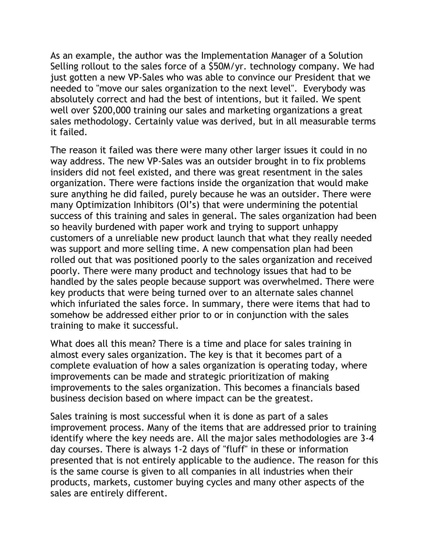As an example, the author was the Implementation Manager of a Solution Selling rollout to the sales force of a \$50M/yr. technology company. We had just gotten a new VP-Sales who was able to convince our President that we needed to "move our sales organization to the next level". Everybody was absolutely correct and had the best of intentions, but it failed. We spent well over \$200,000 training our sales and marketing organizations a great sales methodology. Certainly value was derived, but in all measurable terms it failed.

The reason it failed was there were many other larger issues it could in no way address. The new VP-Sales was an outsider brought in to fix problems insiders did not feel existed, and there was great resentment in the sales organization. There were factions inside the organization that would make sure anything he did failed, purely because he was an outsider. There were many Optimization Inhibitors (OI's) that were undermining the potential success of this training and sales in general. The sales organization had been so heavily burdened with paper work and trying to support unhappy customers of a unreliable new product launch that what they really needed was support and more selling time. A new compensation plan had been rolled out that was positioned poorly to the sales organization and received poorly. There were many product and technology issues that had to be handled by the sales people because support was overwhelmed. There were key products that were being turned over to an alternate sales channel which infuriated the sales force. In summary, there were items that had to somehow be addressed either prior to or in conjunction with the sales training to make it successful.

What does all this mean? There is a time and place for sales training in almost every sales organization. The key is that it becomes part of a complete evaluation of how a sales organization is operating today, where improvements can be made and strategic prioritization of making improvements to the sales organization. This becomes a financials based business decision based on where impact can be the greatest.

Sales training is most successful when it is done as part of a sales improvement process. Many of the items that are addressed prior to training identify where the key needs are. All the major sales methodologies are 3-4 day courses. There is always 1-2 days of "fluff" in these or information presented that is not entirely applicable to the audience. The reason for this is the same course is given to all companies in all industries when their products, markets, customer buying cycles and many other aspects of the sales are entirely different.